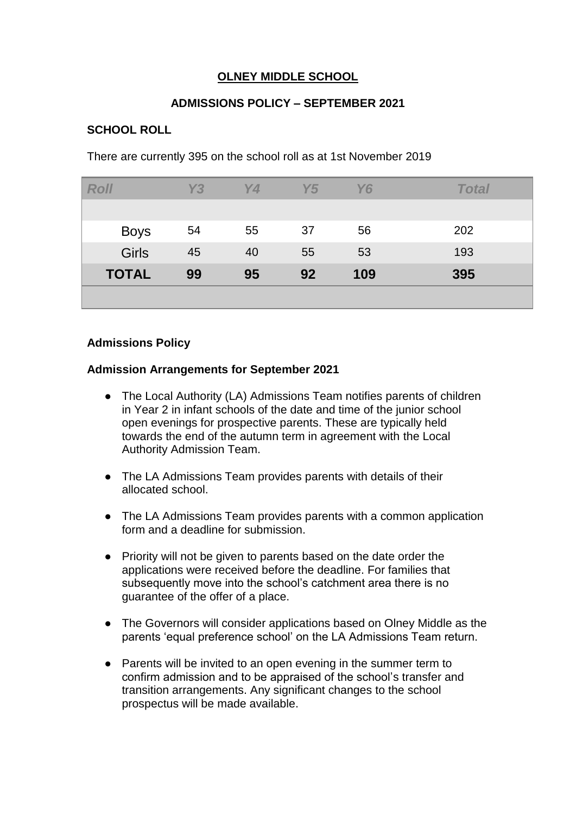# **OLNEY MIDDLE SCHOOL**

## **ADMISSIONS POLICY – SEPTEMBER 2021**

## **SCHOOL ROLL**

There are currently 395 on the school roll as at 1st November 2019

| <b>Roll</b>  | Y3 | <b>Y4</b> | Y5 | <b>Y6</b> | <b>Total</b> |
|--------------|----|-----------|----|-----------|--------------|
|              |    |           |    |           |              |
| <b>Boys</b>  | 54 | 55        | 37 | 56        | 202          |
| <b>Girls</b> | 45 | 40        | 55 | 53        | 193          |
| <b>TOTAL</b> | 99 | 95        | 92 | 109       | 395          |
|              |    |           |    |           |              |

### **Admissions Policy**

### **Admission Arrangements for September 2021**

- The Local Authority (LA) Admissions Team notifies parents of children in Year 2 in infant schools of the date and time of the junior school open evenings for prospective parents. These are typically held towards the end of the autumn term in agreement with the Local Authority Admission Team.
- The LA Admissions Team provides parents with details of their allocated school.
- The LA Admissions Team provides parents with a common application form and a deadline for submission.
- Priority will not be given to parents based on the date order the applications were received before the deadline. For families that subsequently move into the school's catchment area there is no guarantee of the offer of a place.
- The Governors will consider applications based on Olney Middle as the parents 'equal preference school' on the LA Admissions Team return.
- Parents will be invited to an open evening in the summer term to confirm admission and to be appraised of the school's transfer and transition arrangements. Any significant changes to the school prospectus will be made available.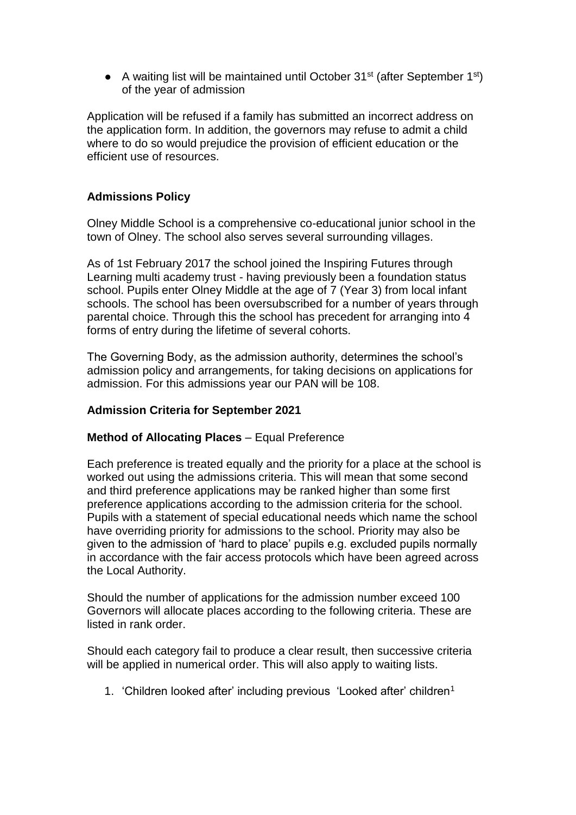• A waiting list will be maintained until October  $31^{st}$  (after September  $1^{st}$ ) of the year of admission

Application will be refused if a family has submitted an incorrect address on the application form. In addition, the governors may refuse to admit a child where to do so would prejudice the provision of efficient education or the efficient use of resources.

## **Admissions Policy**

Olney Middle School is a comprehensive co-educational junior school in the town of Olney. The school also serves several surrounding villages.

As of 1st February 2017 the school joined the Inspiring Futures through Learning multi academy trust - having previously been a foundation status school. Pupils enter Olney Middle at the age of 7 (Year 3) from local infant schools. The school has been oversubscribed for a number of years through parental choice. Through this the school has precedent for arranging into 4 forms of entry during the lifetime of several cohorts.

The Governing Body, as the admission authority, determines the school's admission policy and arrangements, for taking decisions on applications for admission. For this admissions year our PAN will be 108.

## **Admission Criteria for September 2021**

### **Method of Allocating Places** – Equal Preference

Each preference is treated equally and the priority for a place at the school is worked out using the admissions criteria. This will mean that some second and third preference applications may be ranked higher than some first preference applications according to the admission criteria for the school. Pupils with a statement of special educational needs which name the school have overriding priority for admissions to the school. Priority may also be given to the admission of 'hard to place' pupils e.g. excluded pupils normally in accordance with the fair access protocols which have been agreed across the Local Authority.

Should the number of applications for the admission number exceed 100 Governors will allocate places according to the following criteria. These are listed in rank order.

Should each category fail to produce a clear result, then successive criteria will be applied in numerical order. This will also apply to waiting lists.

1. 'Children looked after' including previous 'Looked after' children<sup>1</sup>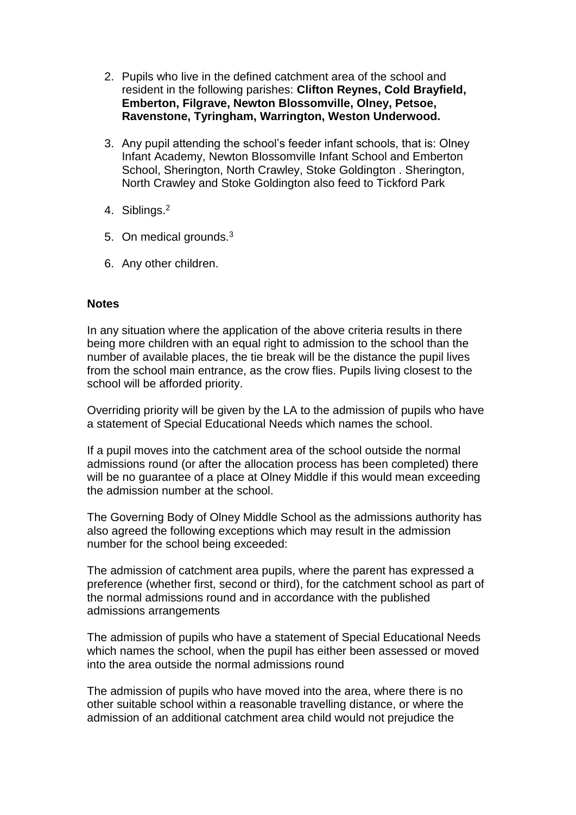- 2. Pupils who live in the defined catchment area of the school and resident in the following parishes: **Clifton Reynes, Cold Brayfield, Emberton, Filgrave, Newton Blossomville, Olney, Petsoe, Ravenstone, Tyringham, Warrington, Weston Underwood.**
- 3. Any pupil attending the school's feeder infant schools, that is: Olney Infant Academy, Newton Blossomville Infant School and Emberton School, Sherington, North Crawley, Stoke Goldington . Sherington, North Crawley and Stoke Goldington also feed to Tickford Park
- 4. Siblings.<sup>2</sup>
- 5. On medical grounds.<sup>3</sup>
- 6. Any other children.

### **Notes**

In any situation where the application of the above criteria results in there being more children with an equal right to admission to the school than the number of available places, the tie break will be the distance the pupil lives from the school main entrance, as the crow flies. Pupils living closest to the school will be afforded priority.

Overriding priority will be given by the LA to the admission of pupils who have a statement of Special Educational Needs which names the school.

If a pupil moves into the catchment area of the school outside the normal admissions round (or after the allocation process has been completed) there will be no guarantee of a place at Olney Middle if this would mean exceeding the admission number at the school.

The Governing Body of Olney Middle School as the admissions authority has also agreed the following exceptions which may result in the admission number for the school being exceeded:

The admission of catchment area pupils, where the parent has expressed a preference (whether first, second or third), for the catchment school as part of the normal admissions round and in accordance with the published admissions arrangements

The admission of pupils who have a statement of Special Educational Needs which names the school, when the pupil has either been assessed or moved into the area outside the normal admissions round

The admission of pupils who have moved into the area, where there is no other suitable school within a reasonable travelling distance, or where the admission of an additional catchment area child would not prejudice the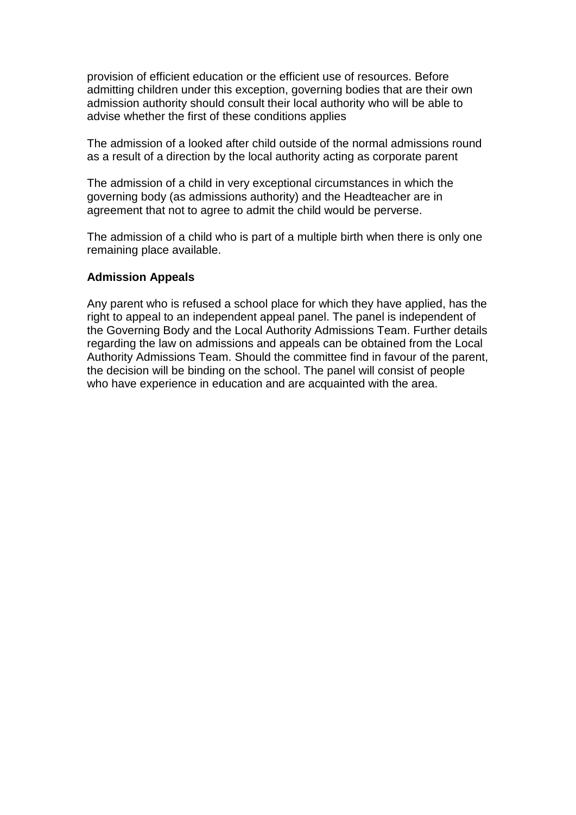provision of efficient education or the efficient use of resources. Before admitting children under this exception, governing bodies that are their own admission authority should consult their local authority who will be able to advise whether the first of these conditions applies

The admission of a looked after child outside of the normal admissions round as a result of a direction by the local authority acting as corporate parent

The admission of a child in very exceptional circumstances in which the governing body (as admissions authority) and the Headteacher are in agreement that not to agree to admit the child would be perverse.

The admission of a child who is part of a multiple birth when there is only one remaining place available.

#### **Admission Appeals**

Any parent who is refused a school place for which they have applied, has the right to appeal to an independent appeal panel. The panel is independent of the Governing Body and the Local Authority Admissions Team. Further details regarding the law on admissions and appeals can be obtained from the Local Authority Admissions Team. Should the committee find in favour of the parent, the decision will be binding on the school. The panel will consist of people who have experience in education and are acquainted with the area.